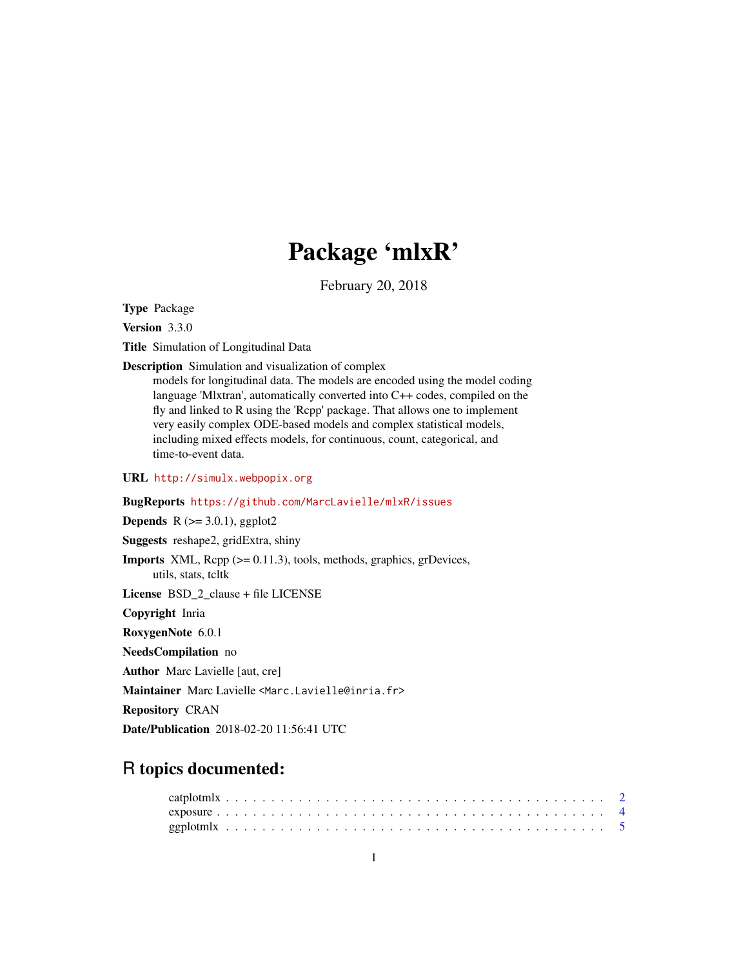## Package 'mlxR'

February 20, 2018

<span id="page-0-0"></span>Type Package

Version 3.3.0

Title Simulation of Longitudinal Data

Description Simulation and visualization of complex

models for longitudinal data. The models are encoded using the model coding language 'Mlxtran', automatically converted into C++ codes, compiled on the fly and linked to R using the 'Rcpp' package. That allows one to implement very easily complex ODE-based models and complex statistical models, including mixed effects models, for continuous, count, categorical, and time-to-event data.

URL <http://simulx.webpopix.org>

#### BugReports <https://github.com/MarcLavielle/mlxR/issues>

**Depends** R  $(>= 3.0.1)$ , ggplot2

Suggests reshape2, gridExtra, shiny

Imports XML, Rcpp (>= 0.11.3), tools, methods, graphics, grDevices, utils, stats, tcltk

License BSD\_2\_clause + file LICENSE

Copyright Inria

RoxygenNote 6.0.1

NeedsCompilation no

Author Marc Lavielle [aut, cre]

Maintainer Marc Lavielle <Marc.Lavielle@inria.fr>

Repository CRAN

Date/Publication 2018-02-20 11:56:41 UTC

### R topics documented: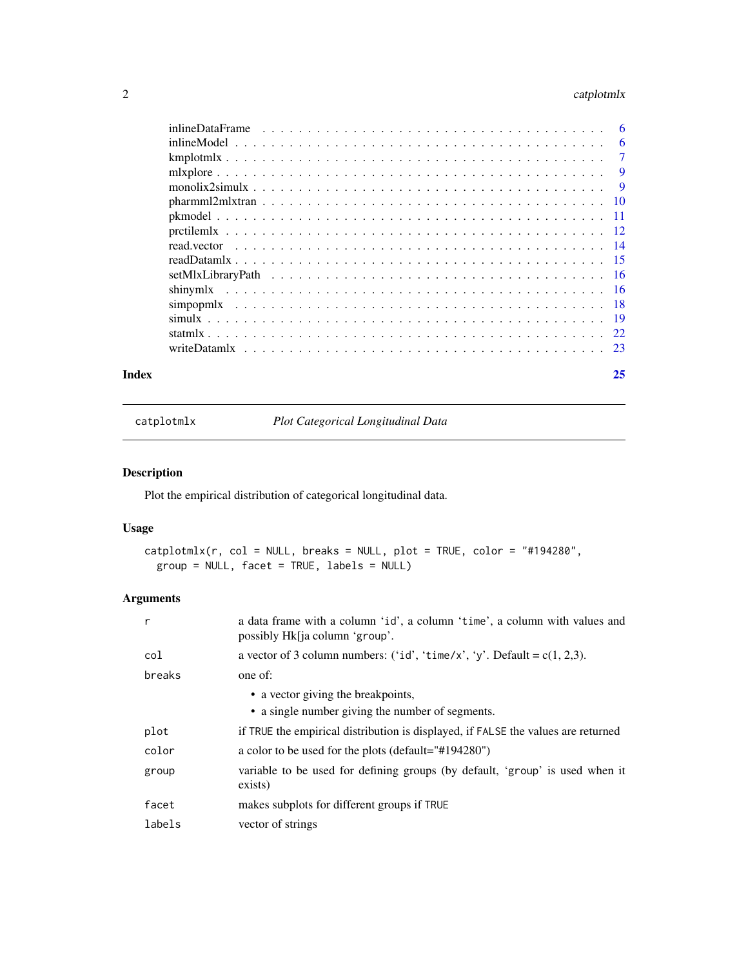#### <span id="page-1-0"></span>2 catplotmlx

| 6              |
|----------------|
| $\overline{7}$ |
| 9              |
| $\overline{9}$ |
|                |
|                |
|                |
|                |
|                |
|                |
|                |
|                |
|                |
|                |
|                |
|                |

#### **Index** [25](#page-24-0)

catplotmlx *Plot Categorical Longitudinal Data*

#### Description

Plot the empirical distribution of categorical longitudinal data.

#### Usage

```
catplotmlx(r, col = NULL, breaks = NULL, plot = TRUE, color = "#194280",group = NULL, facet = TRUE, labels = NULL)
```
#### Arguments

| r      | a data frame with a column 'id', a column 'time', a column with values and<br>possibly Hk[ja column 'group'. |
|--------|--------------------------------------------------------------------------------------------------------------|
| col    | a vector of 3 column numbers: ('id', 'time/x', 'y'. Default = $c(1, 2, 3)$ .                                 |
| breaks | one of:                                                                                                      |
|        | • a vector giving the breakpoints,                                                                           |
|        | • a single number giving the number of segments.                                                             |
| plot   | if TRUE the empirical distribution is displayed, if FALSE the values are returned                            |
| color  | a color to be used for the plots (default="#194280")                                                         |
| group  | variable to be used for defining groups (by default, 'group' is used when it<br>exists)                      |
| facet  | makes subplots for different groups if TRUE                                                                  |
| labels | vector of strings                                                                                            |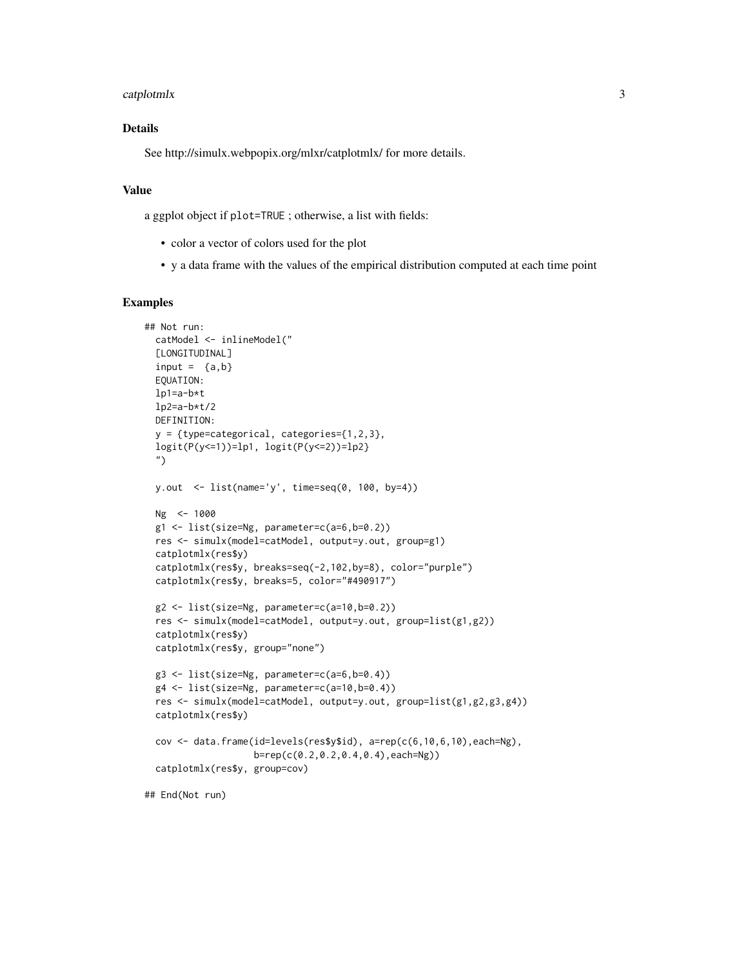#### catplotmlx 3

#### Details

See http://simulx.webpopix.org/mlxr/catplotmlx/ for more details.

#### Value

a ggplot object if plot=TRUE ; otherwise, a list with fields:

- color a vector of colors used for the plot
- y a data frame with the values of the empirical distribution computed at each time point

```
## Not run:
 catModel <- inlineModel("
 [LONGITUDINAL]
 input = {a,b}EQUATION:
 lp1=a-b*t
 lp2=a-b*t/2DEFINITION:
 y = {type=categorical, categories={1,2,3},
 logit(P(y<=1))=lp1, logit(P(y<=2))=lp2}
 ")
 y.out <- list(name='y', time=seq(0, 100, by=4))
 Ng <- 1000
 g1 <- list(size=Ng, parameter=c(a=6,b=0.2))
 res <- simulx(model=catModel, output=y.out, group=g1)
 catplotmlx(res$y)
 catplotmlx(res$y, breaks=seq(-2,102,by=8), color="purple")
 catplotmlx(res$y, breaks=5, color="#490917")
 g2 <- list(size=Ng, parameter=c(a=10,b=0.2))
 res <- simulx(model=catModel, output=y.out, group=list(g1,g2))
 catplotmlx(res$y)
 catplotmlx(res$y, group="none")
 g3 <- list(size=Ng, parameter=c(a=6,b=0.4))
 g4 <- list(size=Ng, parameter=c(a=10,b=0.4))
 res <- simulx(model=catModel, output=y.out, group=list(g1,g2,g3,g4))
 catplotmlx(res$y)
 cov \leq data.frame(id=levels(res$y$id), a=rep(c(6,10,6,10),each=Ng),
                    b=rep(c(0.2,0.2,0.4,0.4),each=Ng))
 catplotmlx(res$y, group=cov)
## End(Not run)
```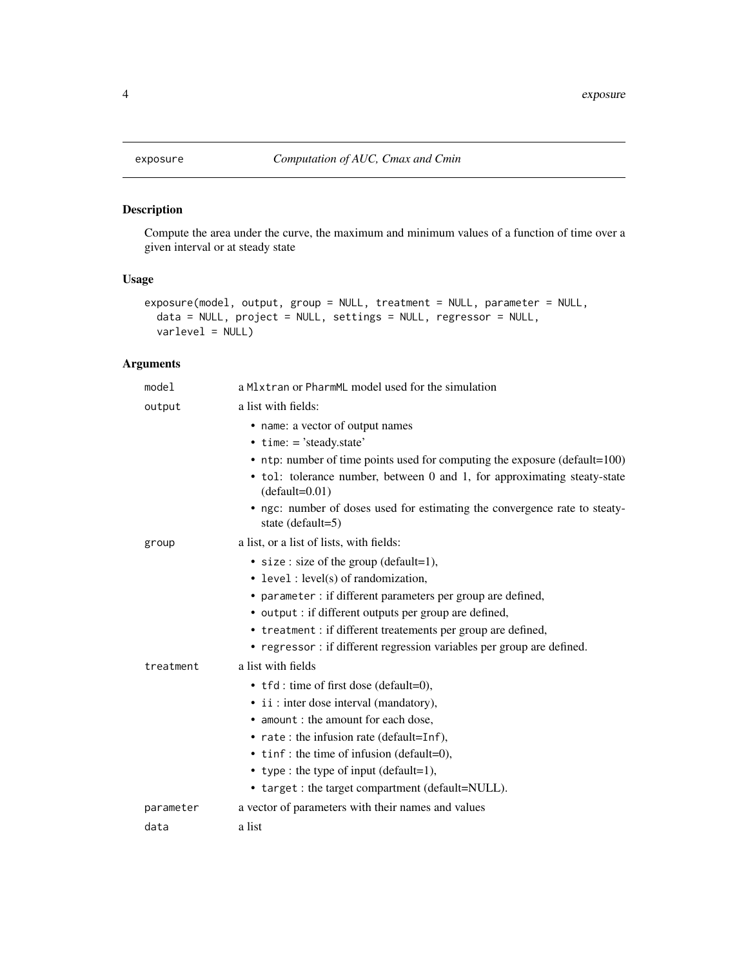<span id="page-3-0"></span>

#### Description

Compute the area under the curve, the maximum and minimum values of a function of time over a given interval or at steady state

#### Usage

```
exposure(model, output, group = NULL, treatment = NULL, parameter = NULL,
  data = NULL, project = NULL, settings = NULL, regressor = NULL,
  varlevel = NULL)
```
#### Arguments

| model     | a M1xtran or PharmML model used for the simulation                                                                                                                                                                                                                                                                                                    |
|-----------|-------------------------------------------------------------------------------------------------------------------------------------------------------------------------------------------------------------------------------------------------------------------------------------------------------------------------------------------------------|
| output    | a list with fields:                                                                                                                                                                                                                                                                                                                                   |
|           | • name: a vector of output names<br>$\bullet$ time: = 'steady.state'<br>• ntp: number of time points used for computing the exposure (default=100)<br>• tol: tolerance number, between 0 and 1, for approximating steaty-state<br>$(default=0.01)$<br>• ngc: number of doses used for estimating the convergence rate to steaty-<br>state (default=5) |
| group     | a list, or a list of lists, with fields:                                                                                                                                                                                                                                                                                                              |
|           | • size : size of the group (default=1),<br>• level: level(s) of randomization,<br>• parameter : if different parameters per group are defined,<br>• output : if different outputs per group are defined,<br>• treatment : if different treatements per group are defined,<br>• regressor : if different regression variables per group are defined.   |
| treatment | a list with fields                                                                                                                                                                                                                                                                                                                                    |
|           | • tfd: time of first dose (default=0),<br>• ii : inter dose interval (mandatory),<br>• amount : the amount for each dose.<br>• rate: the infusion rate (default=Inf),<br>$\bullet$ tinf: the time of infusion (default=0),<br>• type : the type of input (default=1),<br>• target : the target compartment (default=NULL).                            |
| parameter | a vector of parameters with their names and values                                                                                                                                                                                                                                                                                                    |
| data      | a list                                                                                                                                                                                                                                                                                                                                                |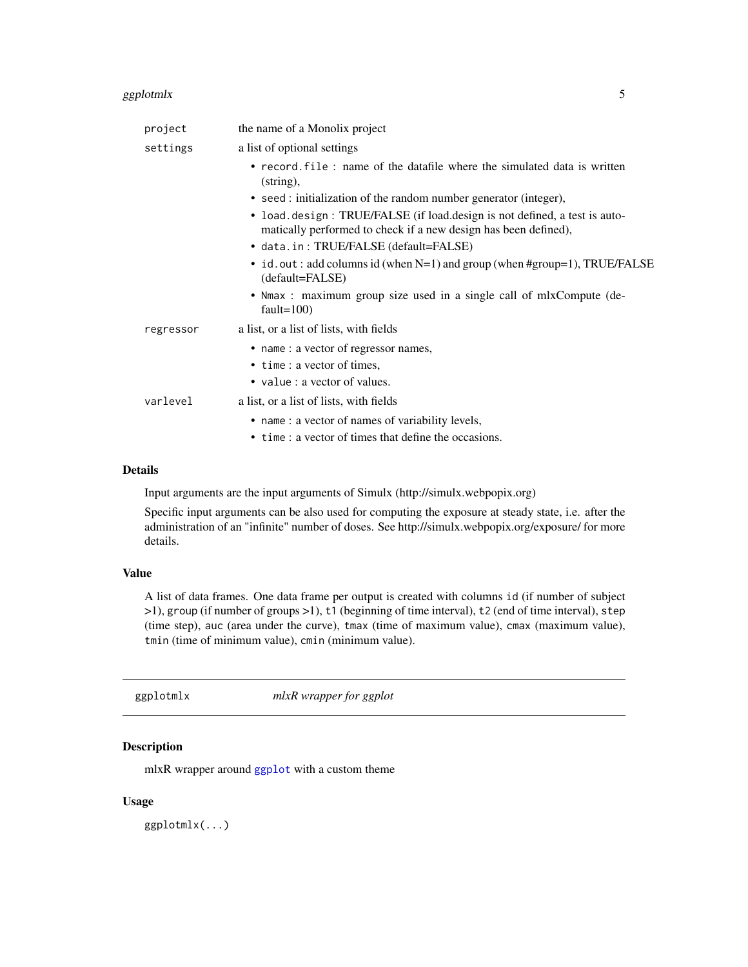#### <span id="page-4-0"></span>ggplotmlx 5

| project   | the name of a Monolix project                                                                                                                |
|-----------|----------------------------------------------------------------------------------------------------------------------------------------------|
| settings  | a list of optional settings                                                                                                                  |
|           | • record file: name of the datafile where the simulated data is written<br>$(\text{string})$ ,                                               |
|           | • seed : initialization of the random number generator (integer),                                                                            |
|           | • load.design: TRUE/FALSE (if load.design is not defined, a test is auto-<br>matically performed to check if a new design has been defined), |
|           | • data.in: TRUE/FALSE (default=FALSE)                                                                                                        |
|           | • id.out: add columns id (when N=1) and group (when #group=1), TRUE/FALSE<br>(default=FALSE)                                                 |
|           | • Nmax : maximum group size used in a single call of mlxCompute (de-<br>fault= $100$ )                                                       |
| regressor | a list, or a list of lists, with fields                                                                                                      |
|           | • name : a vector of regressor names,                                                                                                        |
|           | • time : a vector of times,                                                                                                                  |
|           | • value : a vector of values.                                                                                                                |
| varlevel  | a list, or a list of lists, with fields                                                                                                      |
|           | • name: a vector of names of variability levels,                                                                                             |
|           | • time: a vector of times that define the occasions.                                                                                         |

#### Details

Input arguments are the input arguments of Simulx (http://simulx.webpopix.org)

Specific input arguments can be also used for computing the exposure at steady state, i.e. after the administration of an "infinite" number of doses. See http://simulx.webpopix.org/exposure/ for more details.

#### Value

A list of data frames. One data frame per output is created with columns id (if number of subject >1), group (if number of groups >1), t1 (beginning of time interval), t2 (end of time interval), step (time step), auc (area under the curve), tmax (time of maximum value), cmax (maximum value), tmin (time of minimum value), cmin (minimum value).

ggplotmlx *mlxR wrapper for ggplot*

#### Description

mlxR wrapper around [ggplot](#page-0-0) with a custom theme

#### Usage

ggplotmlx(...)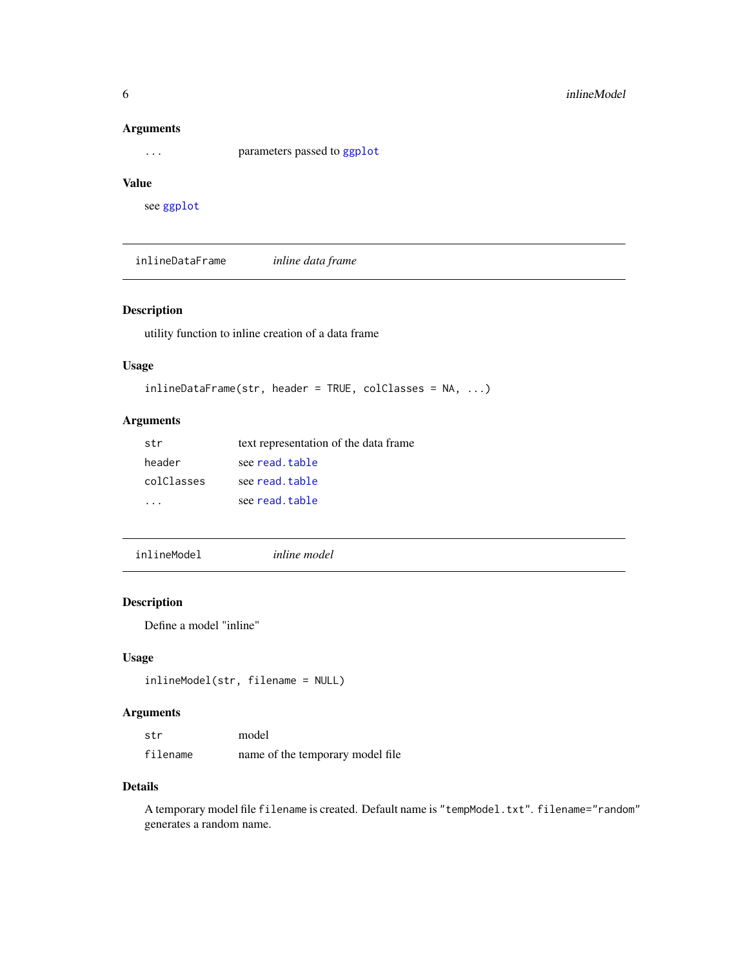#### <span id="page-5-0"></span>Arguments

... parameters passed to [ggplot](#page-0-0)

#### Value

see [ggplot](#page-0-0)

inlineDataFrame *inline data frame*

#### Description

utility function to inline creation of a data frame

#### Usage

```
inlineDataFrame(str, header = TRUE, colClasses = NA, ...)
```
#### Arguments

| str        | text representation of the data frame |
|------------|---------------------------------------|
| header     | see read.table                        |
| colClasses | see read.table                        |
|            | see read.table                        |

inlineModel *inline model*

#### Description

Define a model "inline"

#### Usage

```
inlineModel(str, filename = NULL)
```
#### Arguments

| str      | model                             |
|----------|-----------------------------------|
| filename | name of the temporary model file. |

#### Details

A temporary model file filename is created. Default name is "tempModel.txt". filename="random" generates a random name.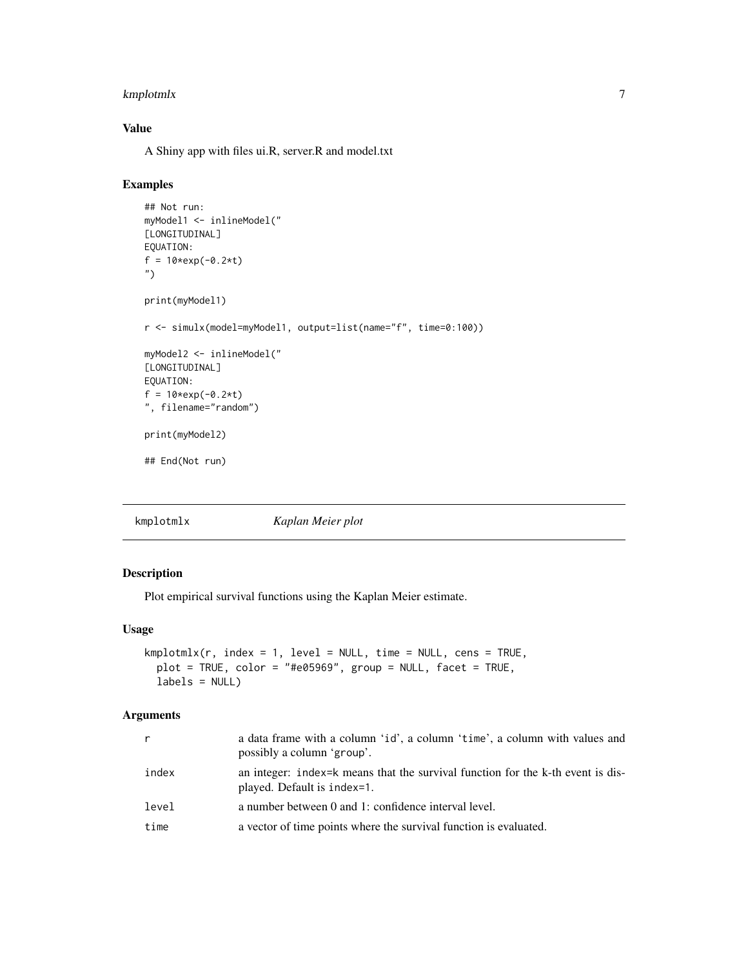#### <span id="page-6-0"></span>kmplotmlx 7

#### Value

A Shiny app with files ui.R, server.R and model.txt

#### Examples

```
## Not run:
myModel1 <- inlineModel("
[LONGITUDINAL]
EQUATION:
f = 10*exp(-0.2*t)
")
print(myModel1)
r <- simulx(model=myModel1, output=list(name="f", time=0:100))
myModel2 <- inlineModel("
[LONGITUDINAL]
EQUATION:
f = 10*exp(-0.2*t)
", filename="random")
print(myModel2)
## End(Not run)
```
kmplotmlx *Kaplan Meier plot*

#### Description

Plot empirical survival functions using the Kaplan Meier estimate.

#### Usage

```
kmplotmlx(r, index = 1, level = NULL, time = NULL, cens = TRUE,plot = TRUE, color = "#e05969", group = NULL, facet = TRUE,
  labels = NULL)
```
#### Arguments

| r     | a data frame with a column 'id', a column 'time', a column with values and<br>possibly a column 'group'.       |
|-------|----------------------------------------------------------------------------------------------------------------|
| index | an integer: index=k means that the survival function for the k-th event is dis-<br>played. Default is index=1. |
| level | a number between 0 and 1: confidence interval level.                                                           |
| time  | a vector of time points where the survival function is evaluated.                                              |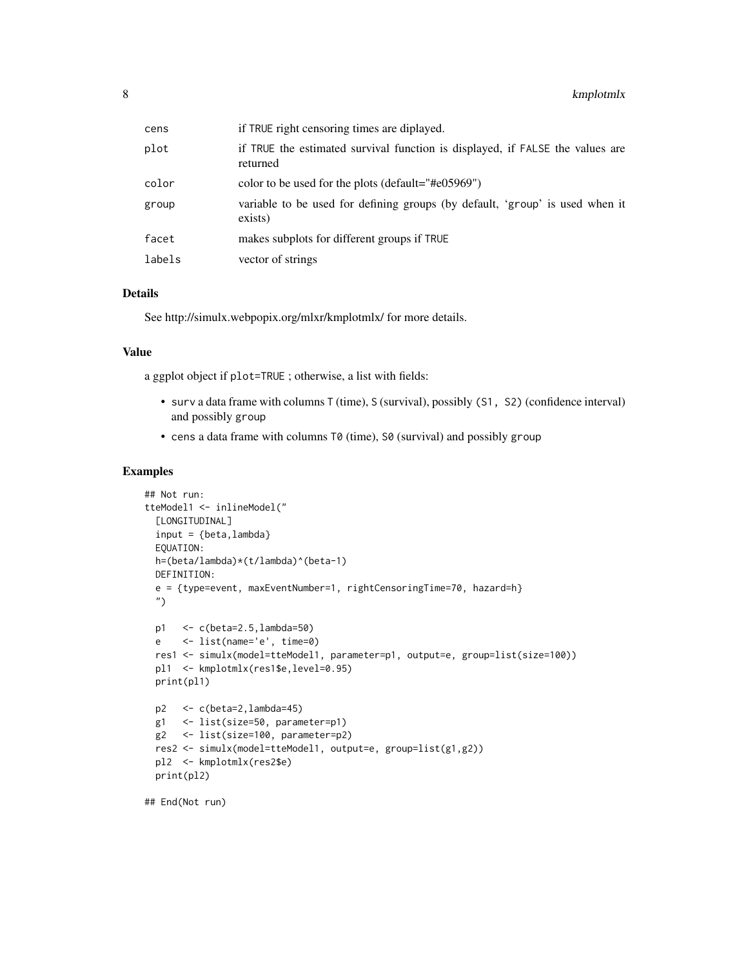| cens   | if TRUE right censoring times are diplayed.                                               |
|--------|-------------------------------------------------------------------------------------------|
| plot   | if TRUE the estimated survival function is displayed, if FALSE the values are<br>returned |
| color  | color to be used for the plots (default="#e05969")                                        |
| group  | variable to be used for defining groups (by default, 'group' is used when it<br>exists)   |
| facet  | makes subplots for different groups if TRUE                                               |
| labels | vector of strings                                                                         |

#### Details

See http://simulx.webpopix.org/mlxr/kmplotmlx/ for more details.

#### Value

a ggplot object if plot=TRUE ; otherwise, a list with fields:

- surv a data frame with columns T (time), S (survival), possibly (S1, S2) (confidence interval) and possibly group
- cens a data frame with columns T0 (time), S0 (survival) and possibly group

```
## Not run:
tteModel1 <- inlineModel("
 [LONGITUDINAL]
 input = \{beta, lambda\}EQUATION:
 h=(beta/lambda)*(t/lambda)^(beta-1)
 DEFINITION:
 e = {type=event, maxEventNumber=1, rightCensoringTime=70, hazard=h}
 ")
 p1 <- c(beta=2.5,lambda=50)
 e <- list(name='e', time=0)
 res1 <- simulx(model=tteModel1, parameter=p1, output=e, group=list(size=100))
 pl1 <- kmplotmlx(res1$e,level=0.95)
 print(pl1)
 p2 <- c(beta=2,lambda=45)
 g1 <- list(size=50, parameter=p1)
 g2 <- list(size=100, parameter=p2)
 res2 <- simulx(model=tteModel1, output=e, group=list(g1,g2))
 pl2 <- kmplotmlx(res2$e)
 print(pl2)
```

```
## End(Not run)
```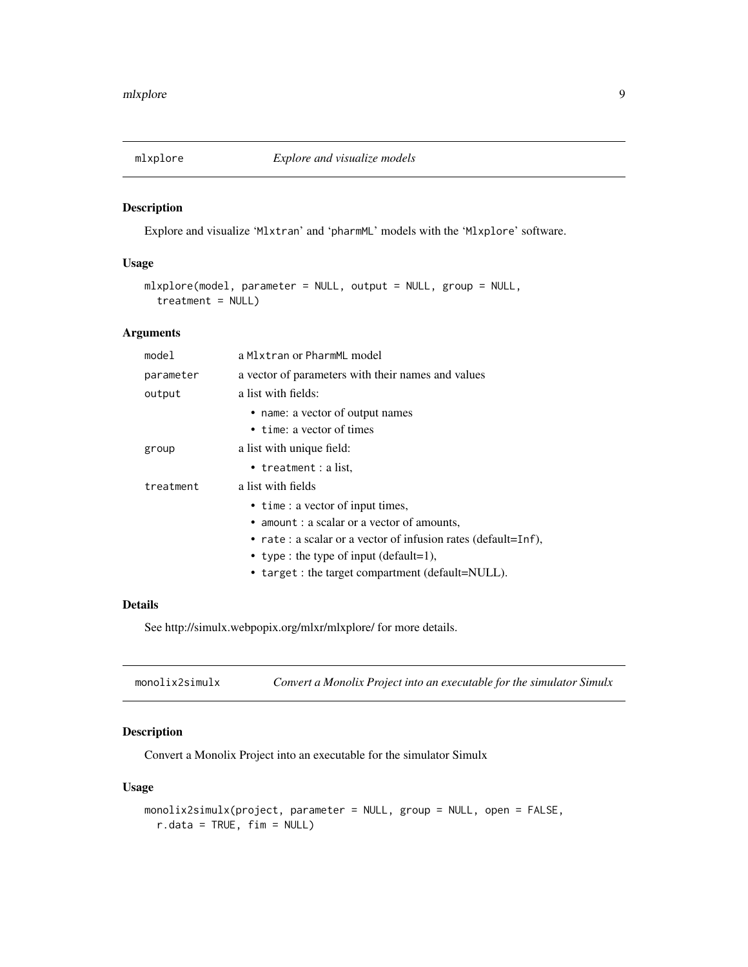<span id="page-8-0"></span>

#### Description

Explore and visualize 'Mlxtran' and 'pharmML' models with the 'Mlxplore' software.

#### Usage

```
mlxplore(model, parameter = NULL, output = NULL, group = NULL,
  treatment = NULL)
```
#### Arguments

| mode1     | a Mlxtran or PharmML model                                    |
|-----------|---------------------------------------------------------------|
| parameter | a vector of parameters with their names and values            |
| output    | a list with fields:                                           |
|           | • name: a vector of output names                              |
|           | • time: a vector of times                                     |
| group     | a list with unique field:                                     |
|           | • treatment : a list,                                         |
| treatment | a list with fields                                            |
|           | • time : a vector of input times,                             |
|           | • amount : a scalar or a vector of amounts,                   |
|           | • rate: a scalar or a vector of infusion rates (default=Inf), |
|           | • type : the type of input (default=1),                       |
|           | • target : the target compartment (default=NULL).             |

#### Details

See http://simulx.webpopix.org/mlxr/mlxplore/ for more details.

| monolix2simulx |  | Convert a Monolix Project into an executable for the simulator Simulx |  |
|----------------|--|-----------------------------------------------------------------------|--|
|----------------|--|-----------------------------------------------------------------------|--|

#### Description

Convert a Monolix Project into an executable for the simulator Simulx

```
monolix2simulx(project, parameter = NULL, group = NULL, open = FALSE,
 r.data = TRUE, fim = NULL)
```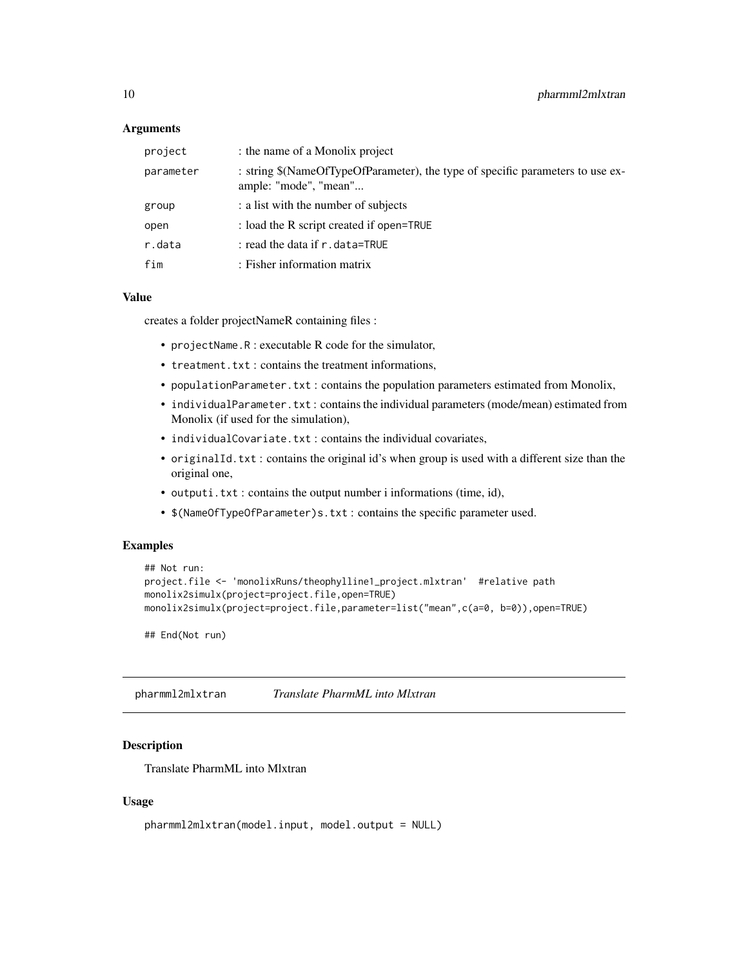#### <span id="page-9-0"></span>Arguments

| project   | : the name of a Monolix project                                                                         |
|-----------|---------------------------------------------------------------------------------------------------------|
| parameter | : string \$(NameOfTypeOfParameter), the type of specific parameters to use ex-<br>ample: "mode", "mean" |
| group     | : a list with the number of subjects                                                                    |
| open      | : load the R script created if open=TRUE                                                                |
| r.data    | : read the data if $r$ . data=TRUE                                                                      |
| fim       | : Fisher information matrix                                                                             |

#### Value

creates a folder projectNameR containing files :

- projectName.R : executable R code for the simulator,
- treatment.txt : contains the treatment informations,
- populationParameter.txt : contains the population parameters estimated from Monolix,
- individualParameter.txt: contains the individual parameters (mode/mean) estimated from Monolix (if used for the simulation),
- individualCovariate.txt : contains the individual covariates,
- originalId.txt : contains the original id's when group is used with a different size than the original one,
- outputi.txt : contains the output number i informations (time, id),
- \$(NameOfTypeOfParameter)s.txt : contains the specific parameter used.

#### Examples

```
## Not run:
project.file <- 'monolixRuns/theophylline1_project.mlxtran' #relative path
monolix2simulx(project=project.file,open=TRUE)
monolix2simulx(project=project.file,parameter=list("mean",c(a=0, b=0)),open=TRUE)
```
## End(Not run)

pharmml2mlxtran *Translate PharmML into Mlxtran*

#### Description

Translate PharmML into Mlxtran

```
pharmml2mlxtran(model.input, model.output = NULL)
```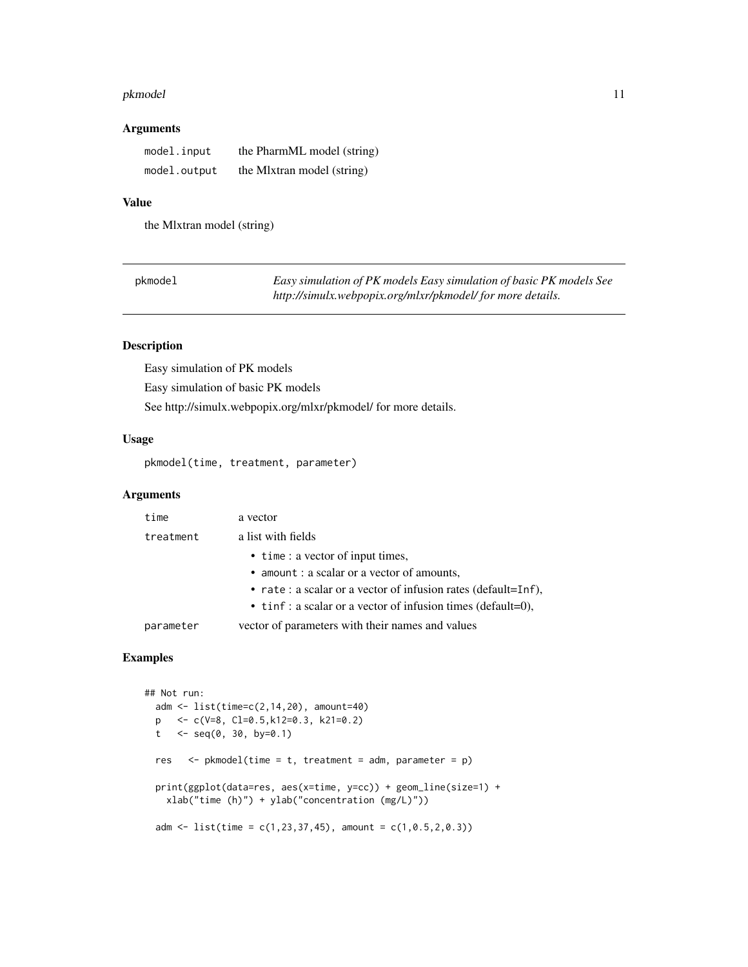#### <span id="page-10-0"></span>pkmodel that the contract of the contract of the contract of the contract of the contract of the contract of the contract of the contract of the contract of the contract of the contract of the contract of the contract of t

#### Arguments

| model.input  | the PharmML model (string) |
|--------------|----------------------------|
| model.output | the M1xtran model (string) |

#### Value

the Mlxtran model (string)

| pkmodel | Easy simulation of PK models Easy simulation of basic PK models See |
|---------|---------------------------------------------------------------------|
|         | http://simulx.webpopix.org/mlxr/pkmodel/ for more details.          |

#### Description

Easy simulation of PK models Easy simulation of basic PK models See http://simulx.webpopix.org/mlxr/pkmodel/ for more details.

#### Usage

pkmodel(time, treatment, parameter)

#### Arguments

| time      | a vector                                                      |
|-----------|---------------------------------------------------------------|
| treatment | a list with fields                                            |
|           | • time : a vector of input times,                             |
|           | • amount : a scalar or a vector of amounts,                   |
|           | • rate: a scalar or a vector of infusion rates (default=Inf), |
|           | • tinf: a scalar or a vector of infusion times (default=0),   |
| parameter | vector of parameters with their names and values              |
|           |                                                               |

```
## Not run:
 adm <- list(time=c(2,14,20), amount=40)
 p <- c(V=8, Cl=0.5,k12=0.3, k21=0.2)
 t \leq seq(0, 30, by=0.1)
 res \leq pkmodel(time = t, treatment = adm, parameter = p)
 print(ggplot(data=res, aes(x=time, y=cc)) + geom_line(size=1) +
   xlab("time (h)") + ylab("concentration (mg/L)"))
 adm <- list(time = c(1, 23, 37, 45), amount = c(1, 0.5, 2, 0.3))
```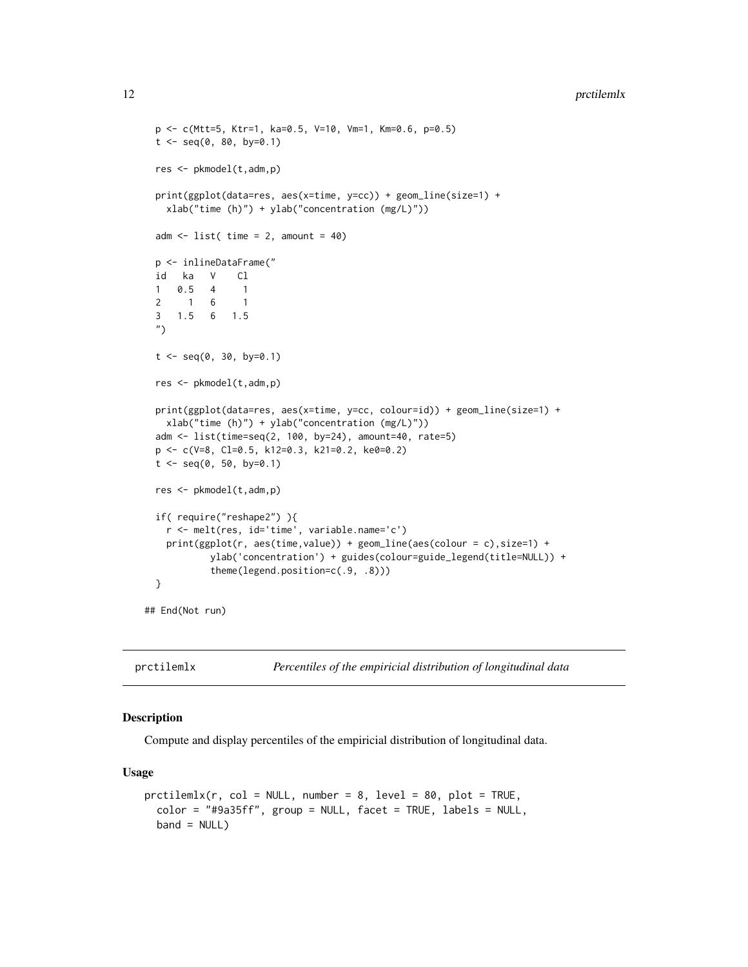#### <span id="page-11-0"></span>12 produced by the contract of the contract of the contract of the contract of the contract of the contract of the contract of the contract of the contract of the contract of the contract of the contract of the contract of

```
p <- c(Mtt=5, Ktr=1, ka=0.5, V=10, Vm=1, Km=0.6, p=0.5)
t < - seq(0, 80, by=0.1)
res <- pkmodel(t,adm,p)
print(ggplot(data=res, aes(x=time, y=cc)) + geom_line(size=1) +
 xlab("time (h)") + ylab("concentration (mg/L)"))
adm \le list( time = 2, amount = 40)
p <- inlineDataFrame("
id ka V Cl
1 0.5 4 1
2 1 6 1
3 1.5 6 1.5
")
t < - seq(0, 30, by=0.1)
res <- pkmodel(t,adm,p)
print(ggplot(data=res, aes(x=time, y=cc, colour=id)) + geom_line(size=1) +
 xlab("time (h)") + ylab("concentration (mg/L)"))
adm <- list(time=seq(2, 100, by=24), amount=40, rate=5)
p <- c(V=8, Cl=0.5, k12=0.3, k21=0.2, ke0=0.2)
t \leq - seq(0, 50, by=0.1)
res <- pkmodel(t,adm,p)
if( require("reshape2") ){
 r <- melt(res, id='time', variable.name='c')
 print(ggplot(r, aes(time,value)) + geom_line(aes(colour = c),size=1) +
         ylab('concentration') + guides(colour=guide_legend(title=NULL)) +
         theme(legend.position=c(.9, .8)))
}
```
## End(Not run)

prctilemlx *Percentiles of the empiricial distribution of longitudinal data*

#### Description

Compute and display percentiles of the empiricial distribution of longitudinal data.

```
prctilemlx(r, col = NULL, number = 8, level = 80, plot = TRUE,color = "#9a35ff", group = NULL, facet = TRUE, labels = NULL,
  band = NULL)
```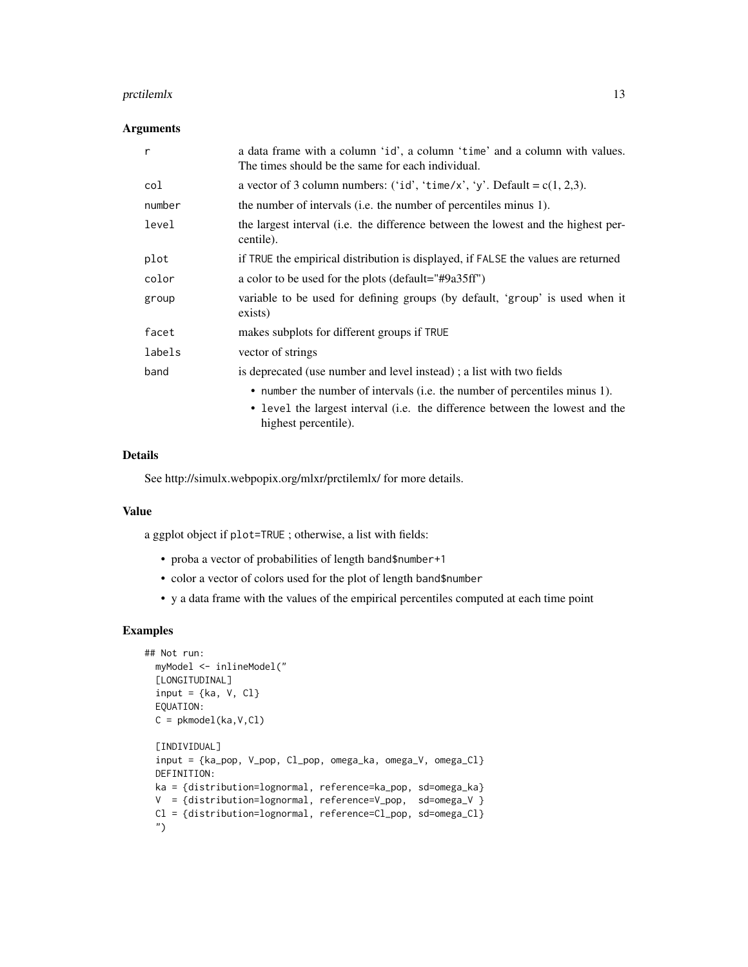#### protilemlx that the contract of the contract of the contract of the contract of the contract of the contract of the contract of the contract of the contract of the contract of the contract of the contract of the contract o

#### Arguments

| $\mathsf{r}$ | a data frame with a column 'id', a column 'time' and a column with values.<br>The times should be the same for each individual.                                                    |
|--------------|------------------------------------------------------------------------------------------------------------------------------------------------------------------------------------|
| col          | a vector of 3 column numbers: ('id', 'time/x', 'y'. Default = $c(1, 2, 3)$ .                                                                                                       |
| number       | the number of intervals (i.e. the number of percentiles minus 1).                                                                                                                  |
| level        | the largest interval (i.e. the difference between the lowest and the highest per-<br>centile).                                                                                     |
| plot         | if TRUE the empirical distribution is displayed, if FALSE the values are returned                                                                                                  |
| color        | a color to be used for the plots (default="#9a35ff")                                                                                                                               |
| group        | variable to be used for defining groups (by default, 'group' is used when it<br>exists)                                                                                            |
| facet        | makes subplots for different groups if TRUE                                                                                                                                        |
| labels       | vector of strings                                                                                                                                                                  |
| band         | is deprecated (use number and level instead); a list with two fields                                                                                                               |
|              | • number the number of intervals (i.e. the number of percentiles minus 1).<br>• level the largest interval (i.e. the difference between the lowest and the<br>highest percentile). |

#### Details

See http://simulx.webpopix.org/mlxr/prctilemlx/ for more details.

#### Value

a ggplot object if plot=TRUE ; otherwise, a list with fields:

- proba a vector of probabilities of length band\$number+1
- color a vector of colors used for the plot of length band\$number
- y a data frame with the values of the empirical percentiles computed at each time point

```
## Not run:
 myModel <- inlineModel("
 [LONGITUDINAL]
 input = {ka, V, Cl}EQUATION:
 C = pkmodel(ka, V, Cl)
 [INDIVIDUAL]
 input = {ka_pop, V_pop, Cl_pop, omega_ka, omega_V, omega_Cl}
 DEFINITION:
 ka = {distribution=lognormal, reference=ka_pop, sd=omega_ka}
 V = {distribution=lognormal, reference=V_pop, sd=omega_V }
 Cl = {distribution=lognormal, reference=Cl_pop, sd=omega_Cl}
 ")
```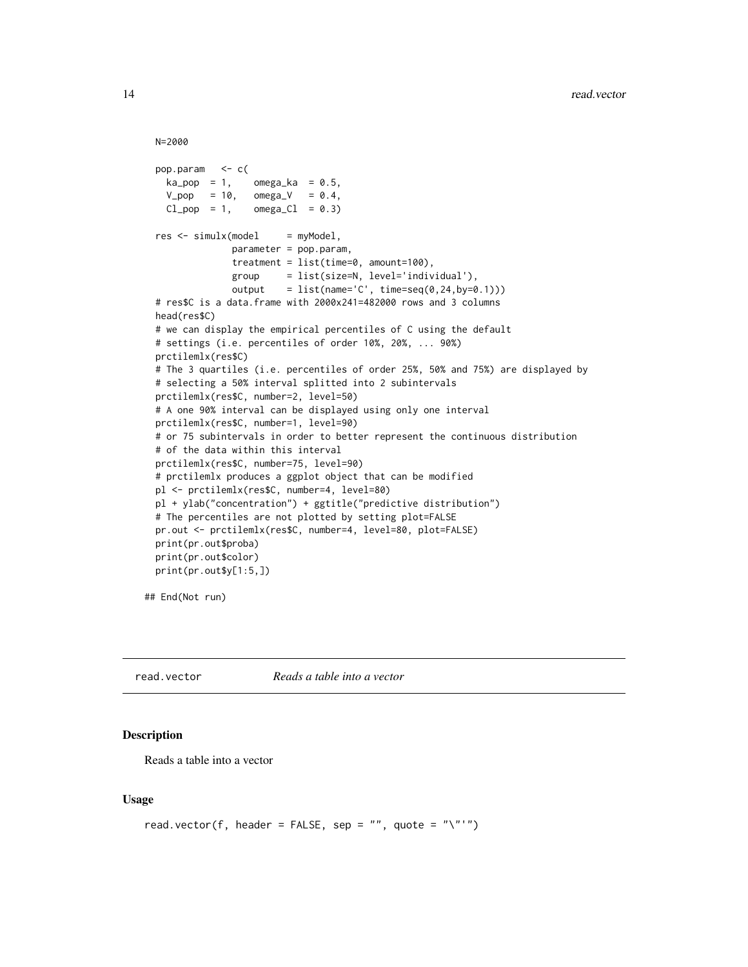```
N=2000
```

```
pop.param <- c(
 ka_pop = 1, omega<sub>ka</sub> = 0.5,
  V_{pop} = 10, omega_V = 0.4,
 Cl\_pop = 1, omegaCl = 0.3)
res < - \nsimullx (model = myModel,parameter = pop.param,
              treatment = list(time=0, amount=100),
              group = list(size=N, level='individual'),
              output = list(name='C', time=seq(0, 24, by=0.1)))# res$C is a data.frame with 2000x241=482000 rows and 3 columns
head(res$C)
# we can display the empirical percentiles of C using the default
# settings (i.e. percentiles of order 10%, 20%, ... 90%)
prctilemlx(res$C)
# The 3 quartiles (i.e. percentiles of order 25%, 50% and 75%) are displayed by
# selecting a 50% interval splitted into 2 subintervals
prctilemlx(res$C, number=2, level=50)
# A one 90% interval can be displayed using only one interval
prctilemlx(res$C, number=1, level=90)
# or 75 subintervals in order to better represent the continuous distribution
# of the data within this interval
prctilemlx(res$C, number=75, level=90)
# prctilemlx produces a ggplot object that can be modified
pl <- prctilemlx(res$C, number=4, level=80)
pl + ylab("concentration") + ggtitle("predictive distribution")
# The percentiles are not plotted by setting plot=FALSE
pr.out <- prctilemlx(res$C, number=4, level=80, plot=FALSE)
print(pr.out$proba)
print(pr.out$color)
print(pr.out$y[1:5,])
```
## End(Not run)

read.vector *Reads a table into a vector*

#### Description

Reads a table into a vector

```
read.vector(f, header = FALSE, sep = "", quote = "\"'")
```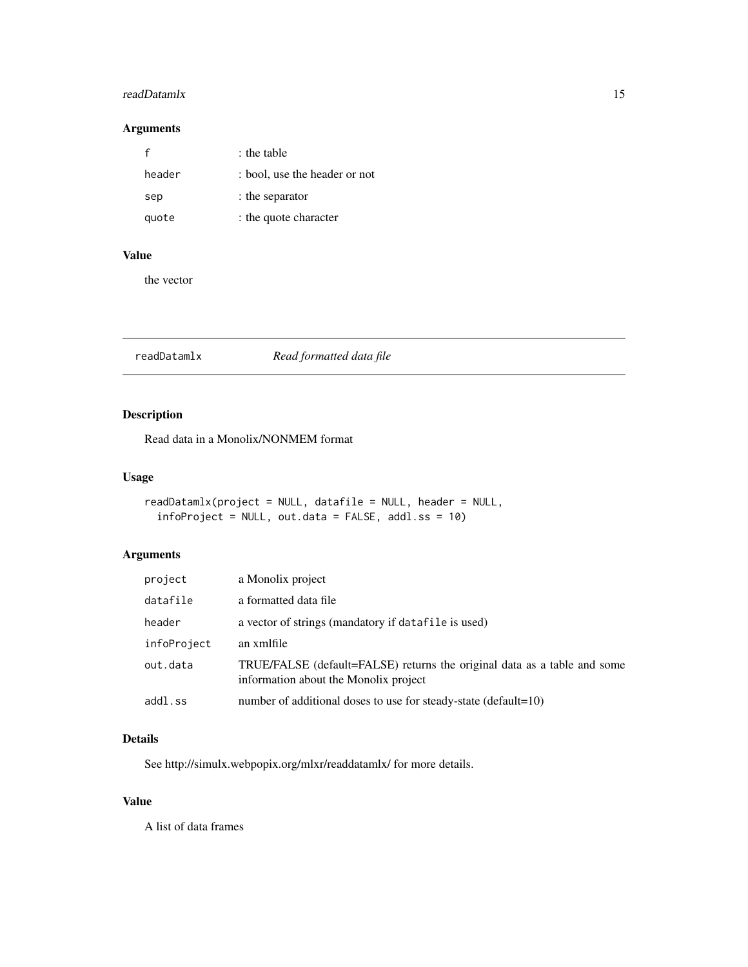#### <span id="page-14-0"></span>readDatamlx 15

#### Arguments

| f      | : the table                   |
|--------|-------------------------------|
| header | : bool, use the header or not |
| sep    | : the separator               |
| quote  | : the quote character         |

#### Value

the vector

readDatamlx *Read formatted data file*

#### Description

Read data in a Monolix/NONMEM format

#### Usage

```
readDatamlx(project = NULL, datafile = NULL, header = NULL,
  infoProject = NULL, out.data = FALSE, addl.ss = 10)
```
#### Arguments

| project     | a Monolix project                                                                                                 |
|-------------|-------------------------------------------------------------------------------------------------------------------|
| datafile    | a formatted data file                                                                                             |
| header      | a vector of strings (mandatory if datafile is used)                                                               |
| infoProject | an xmlfile                                                                                                        |
| out.data    | TRUE/FALSE (default=FALSE) returns the original data as a table and some<br>information about the Monolix project |
| addl.ss     | number of additional doses to use for steady-state (default=10)                                                   |

#### Details

See http://simulx.webpopix.org/mlxr/readdatamlx/ for more details.

#### Value

A list of data frames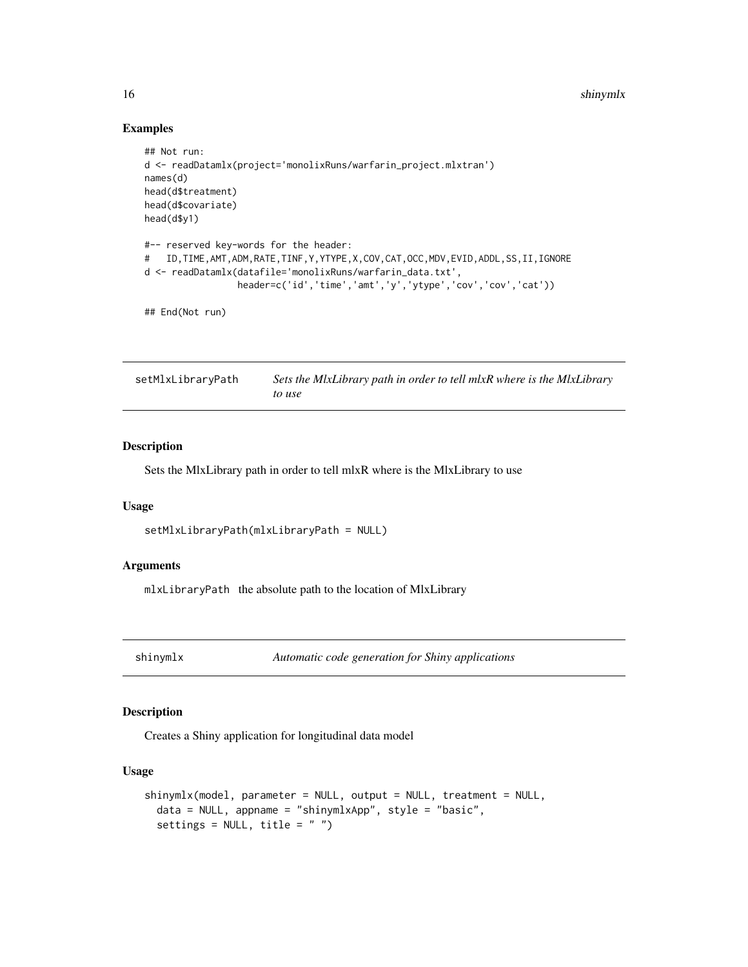<span id="page-15-0"></span>16 shinymlx

#### Examples

```
## Not run:
d <- readDatamlx(project='monolixRuns/warfarin_project.mlxtran')
names(d)
head(d$treatment)
head(d$covariate)
head(d$y1)
#-- reserved key-words for the header:
# ID,TIME,AMT,ADM,RATE,TINF,Y,YTYPE,X,COV,CAT,OCC,MDV,EVID,ADDL,SS,II,IGNORE
d <- readDatamlx(datafile='monolixRuns/warfarin_data.txt',
                 header=c('id','time','amt','y','ytype','cov','cov','cat'))
```
## End(Not run)

setMlxLibraryPath *Sets the MlxLibrary path in order to tell mlxR where is the MlxLibrary to use*

#### Description

Sets the MlxLibrary path in order to tell mlxR where is the MlxLibrary to use

#### Usage

```
setMlxLibraryPath(mlxLibraryPath = NULL)
```
#### Arguments

mlxLibraryPath the absolute path to the location of MlxLibrary

shinymlx *Automatic code generation for Shiny applications*

#### Description

Creates a Shiny application for longitudinal data model

```
shinymlx(model, parameter = NULL, output = NULL, treatment = NULL,
 data = NULL, appname = "shinymlxApp", style = "basic",
  settings = NULL, title = " ")
```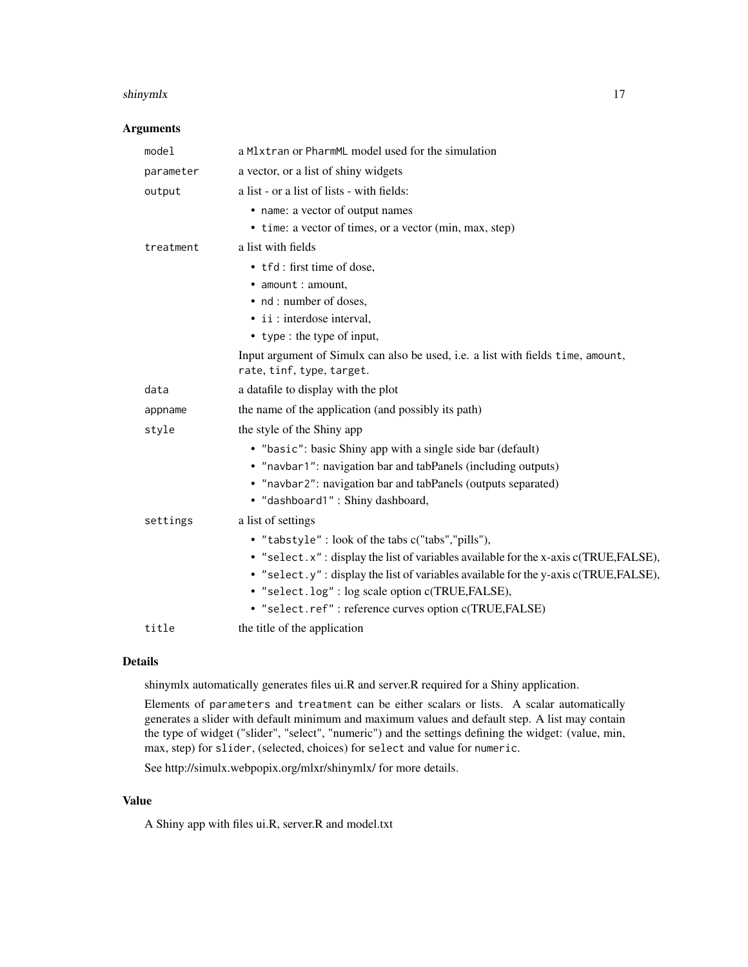#### shinymlx the state of the state of the state of the state of the state of the state of the state of the state of the state of the state of the state of the state of the state of the state of the state of the state of the s

#### Arguments

| model     | a Mlxtran or PharmML model used for the simulation                                                            |
|-----------|---------------------------------------------------------------------------------------------------------------|
| parameter | a vector, or a list of shiny widgets                                                                          |
| output    | a list - or a list of lists - with fields:                                                                    |
|           | • name: a vector of output names                                                                              |
|           | • time: a vector of times, or a vector (min, max, step)                                                       |
| treatment | a list with fields                                                                                            |
|           | • tfd: first time of dose,                                                                                    |
|           | • amount : amount,                                                                                            |
|           | • nd: number of doses,                                                                                        |
|           | • ii : interdose interval,                                                                                    |
|           | • type : the type of input,                                                                                   |
|           | Input argument of Simulx can also be used, i.e. a list with fields time, amount,<br>rate, tinf, type, target. |
| data      | a datafile to display with the plot                                                                           |
| appname   | the name of the application (and possibly its path)                                                           |
| style     | the style of the Shiny app                                                                                    |
|           | • "basic": basic Shiny app with a single side bar (default)                                                   |
|           | • "navbar1": navigation bar and tabPanels (including outputs)                                                 |
|           | • "navbar2": navigation bar and tabPanels (outputs separated)                                                 |
|           | · "dashboard1": Shiny dashboard,                                                                              |
| settings  | a list of settings                                                                                            |
|           | • "tabstyle": look of the tabs c("tabs","pills"),                                                             |
|           | • "select.x": display the list of variables available for the x-axis c(TRUE, FALSE),                          |
|           | • "select.y": display the list of variables available for the y-axis c(TRUE,FALSE),                           |
|           | • "select.log": log scale option c(TRUE,FALSE),                                                               |
|           | • "select.ref": reference curves option c(TRUE,FALSE)                                                         |
| title     | the title of the application                                                                                  |

#### Details

shinymlx automatically generates files ui.R and server.R required for a Shiny application.

Elements of parameters and treatment can be either scalars or lists. A scalar automatically generates a slider with default minimum and maximum values and default step. A list may contain the type of widget ("slider", "select", "numeric") and the settings defining the widget: (value, min, max, step) for slider, (selected, choices) for select and value for numeric.

See http://simulx.webpopix.org/mlxr/shinymlx/ for more details.

#### Value

A Shiny app with files ui.R, server.R and model.txt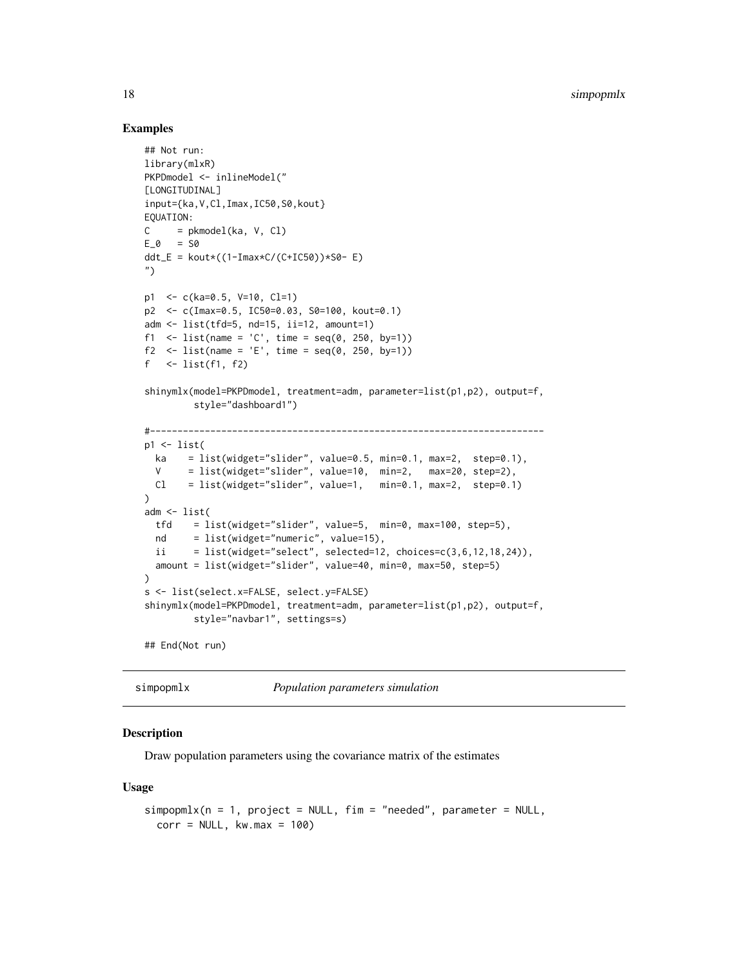#### Examples

```
## Not run:
library(mlxR)
PKPDmodel <- inlineModel("
[LONGITUDINAL]
input={ka,V,Cl,Imax,IC50,S0,kout}
EQUATION:
C = pkmodel(ka, V, Cl)
E_0 = S0ddt_E = kout*( (1-Imax*C/(C+IC50)) * S0 - E)")
p1 <- c(ka=0.5, V=10, Cl=1)
p2 <- c(Imax=0.5, IC50=0.03, S0=100, kout=0.1)
adm <- list(tfd=5, nd=15, ii=12, amount=1)
f1 \le list(name = 'C', time = seq(0, 250, by=1))
f2 \leftarrow list(name = 'E', time = seq(0, 250, by=1))
f \leftarrow list(f1, f2)
shinymlx(model=PKPDmodel, treatment=adm, parameter=list(p1,p2), output=f,
         style="dashboard1")
#------------------------------------------------------------------------
p1 \leftarrow list(ka = list(widget="slider", value=0.5, min=0.1, max=2, step=0.1),
  V = list(widget="slider", value=10, min=2, max=20, step=2),
  Cl = list(widget="slice", value=1, min=0.1, max=2, step=0.1))
adm <- list(
  tfd = list(widget="slider", value=5, min=0, max=100, step=5),
  nd = list(widget="numeric", value=15),
  ii = list(widget="select", selected=12, choices=c(3,6,12,18,24)),
  amount = list(widget="slider", value=40, min=0, max=50, step=5)
)
s <- list(select.x=FALSE, select.y=FALSE)
shinymlx(model=PKPDmodel, treatment=adm, parameter=list(p1,p2), output=f,
         style="navbar1", settings=s)
## End(Not run)
```
simpopmlx *Population parameters simulation*

#### **Description**

Draw population parameters using the covariance matrix of the estimates

```
simpomlx(n = 1, project = NULL, fin = "needed", parameter = NULL,corr = NULL, kw.max = 100
```
<span id="page-17-0"></span>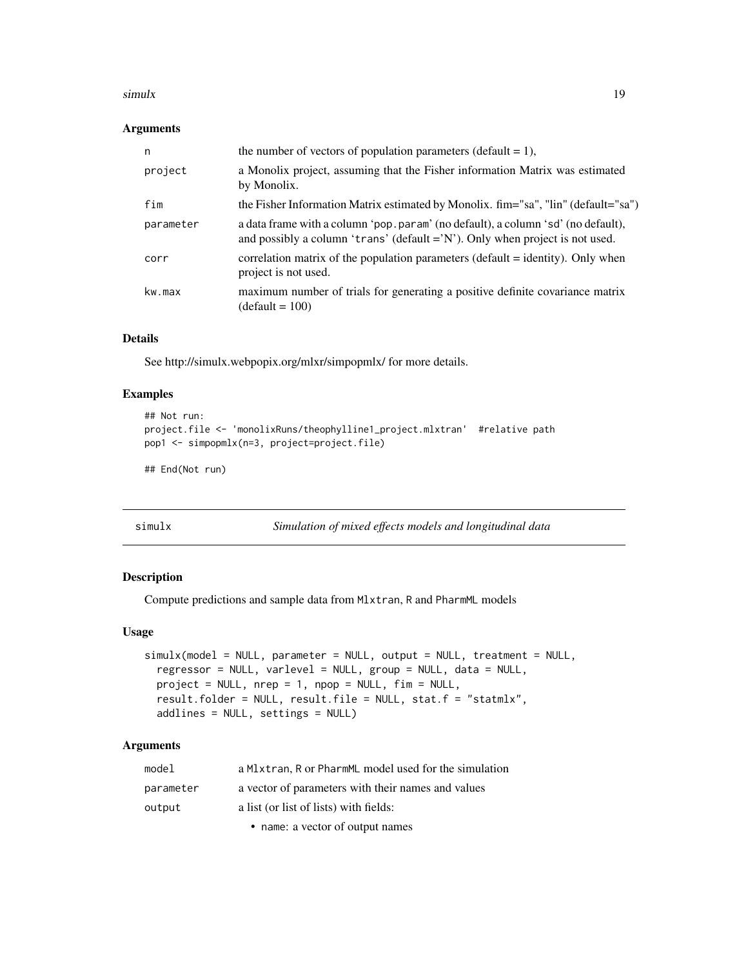#### <span id="page-18-0"></span> $\frac{1}{9}$  simulx

#### Arguments

| n         | the number of vectors of population parameters (default = 1),                                                                                                       |
|-----------|---------------------------------------------------------------------------------------------------------------------------------------------------------------------|
| project   | a Monolix project, assuming that the Fisher information Matrix was estimated<br>by Monolix.                                                                         |
| fim       | the Fisher Information Matrix estimated by Monolix. fim="sa", "lin" (default="sa")                                                                                  |
| parameter | a data frame with a column 'pop.param' (no default), a column 'sd' (no default),<br>and possibly a column 'trans' (default $=$ 'N'). Only when project is not used. |
| corr      | correlation matrix of the population parameters (default = identity). Only when<br>project is not used.                                                             |
| kw.max    | maximum number of trials for generating a positive definite covariance matrix<br>$(default = 100)$                                                                  |

#### Details

See http://simulx.webpopix.org/mlxr/simpopmlx/ for more details.

#### Examples

```
## Not run:
project.file <- 'monolixRuns/theophylline1_project.mlxtran' #relative path
pop1 <- simpopmlx(n=3, project=project.file)
```
## End(Not run)

simulx *Simulation of mixed effects models and longitudinal data*

#### Description

Compute predictions and sample data from Mlxtran, R and PharmML models

#### Usage

```
simulx(model = NULL, parameter = NULL, output = NULL, treatment = NULL,
 regressor = NULL, varlevel = NULL, group = NULL, data = NULL,
 project = NULL, nrep = 1, npop = NULL, fim = NULL,
 result.folder = NULL, result.file = NULL, stat.f = "statmlx",
 addlines = NULL, settings = NULL)
```
#### Arguments

| model     | a M1xtran, R or PharmML model used for the simulation |
|-----------|-------------------------------------------------------|
| parameter | a vector of parameters with their names and values    |
| output    | a list (or list of lists) with fields:                |
|           | • name: a vector of output names                      |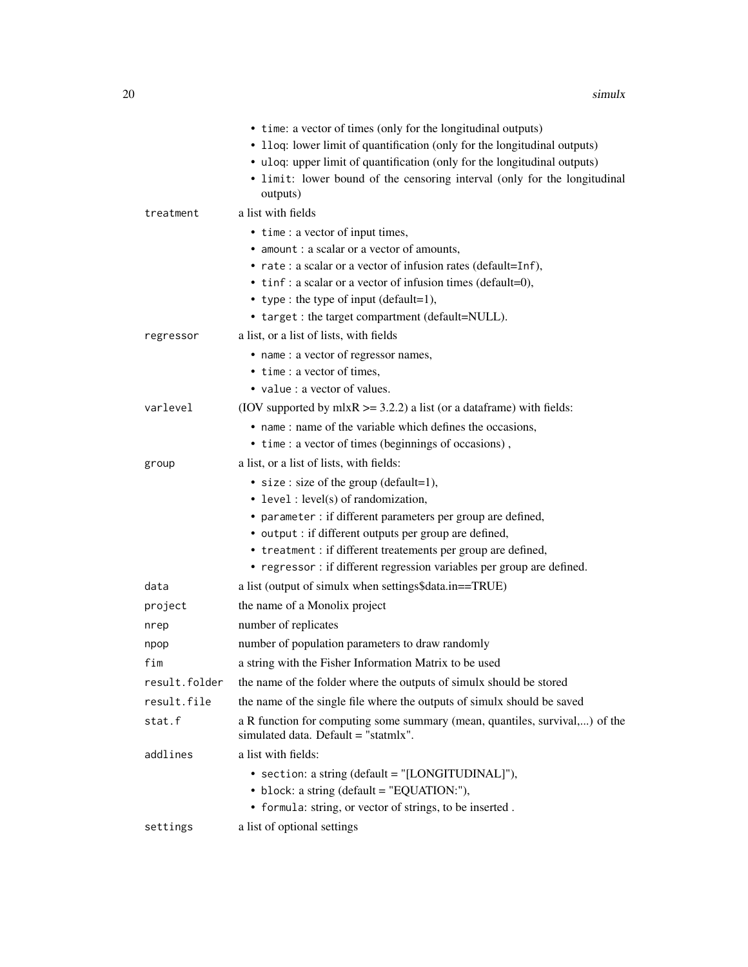|               | • time: a vector of times (only for the longitudinal outputs)                                                       |
|---------------|---------------------------------------------------------------------------------------------------------------------|
|               | • 11 oq: lower limit of quantification (only for the longitudinal outputs)                                          |
|               | • uloq: upper limit of quantification (only for the longitudinal outputs)                                           |
|               | • limit: lower bound of the censoring interval (only for the longitudinal<br>outputs)                               |
| treatment     | a list with fields                                                                                                  |
|               | • time : a vector of input times,                                                                                   |
|               | • amount : a scalar or a vector of amounts,                                                                         |
|               | • rate : a scalar or a vector of infusion rates (default=Inf),                                                      |
|               | • tinf: a scalar or a vector of infusion times (default=0),                                                         |
|               | • type : the type of input (default=1),                                                                             |
|               | • target : the target compartment (default=NULL).                                                                   |
| regressor     | a list, or a list of lists, with fields                                                                             |
|               | • name : a vector of regressor names,                                                                               |
|               | • time : a vector of times,                                                                                         |
|               | • value : a vector of values.                                                                                       |
| varlevel      | (IOV supported by $m\text{ln}R$ >= 3.2.2) a list (or a data frame) with fields:                                     |
|               | • name: name of the variable which defines the occasions,                                                           |
|               | • time : a vector of times (beginnings of occasions),                                                               |
| group         | a list, or a list of lists, with fields:                                                                            |
|               | • size : size of the group (default=1),                                                                             |
|               | • level: level(s) of randomization,                                                                                 |
|               | • parameter : if different parameters per group are defined,                                                        |
|               | • output : if different outputs per group are defined,                                                              |
|               | • treatment : if different treatements per group are defined,                                                       |
|               | • regressor : if different regression variables per group are defined.                                              |
| data          | a list (output of simulx when settings\$data.in==TRUE)                                                              |
| project       | the name of a Monolix project                                                                                       |
| nrep          | number of replicates                                                                                                |
| npop          | number of population parameters to draw randomly                                                                    |
| fim           | a string with the Fisher Information Matrix to be used                                                              |
| result.folder | the name of the folder where the outputs of simulx should be stored                                                 |
| result.file   | the name of the single file where the outputs of simulx should be saved                                             |
| stat.f        | a R function for computing some summary (mean, quantiles, survival,) of the<br>simulated data. Default = "statmlx". |
| addlines      | a list with fields:                                                                                                 |
|               | • section: a string (default = "[LONGITUDINAL]"),                                                                   |
|               | • block: a string (default = "EQUATION:"),                                                                          |
|               | • formula: string, or vector of strings, to be inserted.                                                            |
| settings      | a list of optional settings                                                                                         |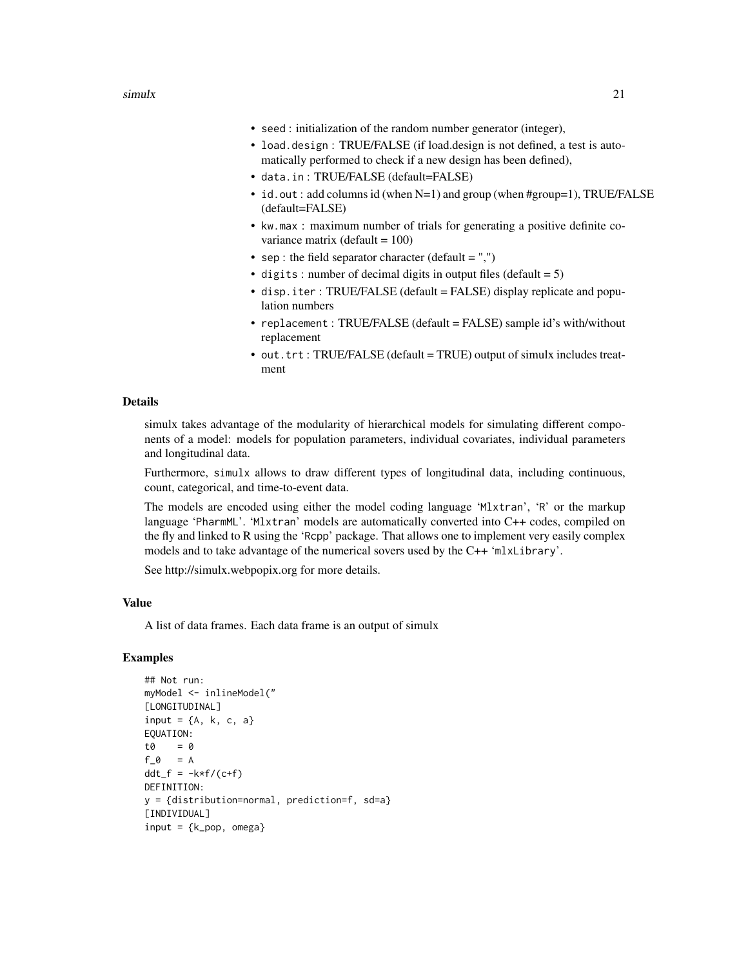$\frac{1}{21}$  simulx 21

- seed : initialization of the random number generator (integer),
- load.design : TRUE/FALSE (if load.design is not defined, a test is automatically performed to check if a new design has been defined),
- data.in : TRUE/FALSE (default=FALSE)
- id.out: add columns id (when N=1) and group (when #group=1), TRUE/FALSE (default=FALSE)
- kw.max : maximum number of trials for generating a positive definite covariance matrix (default = 100)
- sep : the field separator character (default  $=$  ",")
- digits : number of decimal digits in output files (default  $= 5$ )
- disp.iter : TRUE/FALSE (default = FALSE) display replicate and population numbers
- replacement : TRUE/FALSE (default = FALSE) sample id's with/without replacement
- out.trt : TRUE/FALSE (default = TRUE) output of simulx includes treatment

#### Details

simulx takes advantage of the modularity of hierarchical models for simulating different components of a model: models for population parameters, individual covariates, individual parameters and longitudinal data.

Furthermore, simulx allows to draw different types of longitudinal data, including continuous, count, categorical, and time-to-event data.

The models are encoded using either the model coding language 'Mlxtran', 'R' or the markup language 'PharmML'. 'Mlxtran' models are automatically converted into C++ codes, compiled on the fly and linked to R using the 'Rcpp' package. That allows one to implement very easily complex models and to take advantage of the numerical sovers used by the C++ 'mlxLibrary'.

See http://simulx.webpopix.org for more details.

#### Value

A list of data frames. Each data frame is an output of simulx

```
## Not run:
myModel <- inlineModel("
[LONGITUDINAL]
input = {A, k, c, a}EQUATION:
t0 = 0
f_0 = Addt_f = -k*f/(c+f)DEFINITION:
y = {distribution=normal, prediction=f, sd=a}
[INDIVIDUAL]
input = {k\_pop, \text{omega}}
```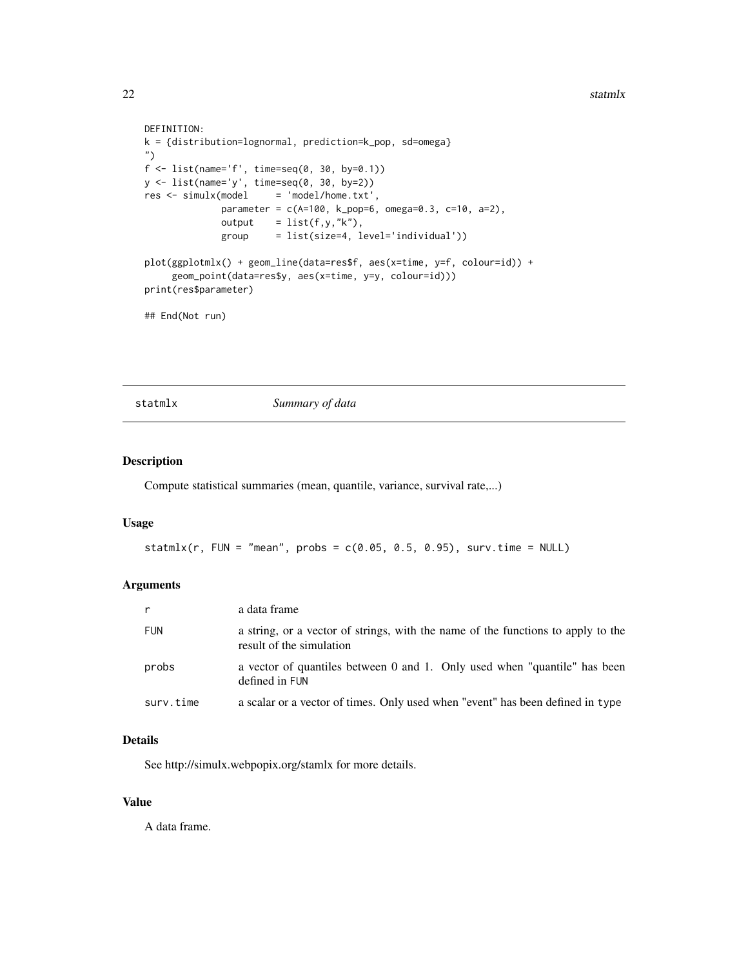```
DEFINITION:
k = {distribution=lognormal, prediction=k_pop, sd=omega}
")
f \leftarrow list(name='f', time=seq(0, 30, by=0.1))y <- list(name='y', time=seq(0, 30, by=2))
res \le - \text{simulx}(\text{model} = 'model/home.txt',parameter = c(A=100, k_pop=6, omega=0.3, c=10, a=2),
              output = list(f,y,"k"),
              group = list(size=4, level='individual'))
plot(ggplotmlx() + geom_line(data=res$f, aes(x=time, y=f, colour=id)) +
     geom_point(data=res$y, aes(x=time, y=y, colour=id)))
print(res$parameter)
## End(Not run)
```
statmlx *Summary of data*

#### Description

Compute statistical summaries (mean, quantile, variance, survival rate,...)

#### Usage

statmlx(r, FUN = "mean", probs =  $c(0.05, 0.5, 0.95)$ , surv.time = NULL)

#### Arguments

| $\mathsf{r}$ | a data frame                                                                                                 |
|--------------|--------------------------------------------------------------------------------------------------------------|
| <b>FUN</b>   | a string, or a vector of strings, with the name of the functions to apply to the<br>result of the simulation |
| probs        | a vector of quantiles between 0 and 1. Only used when "quantile" has been<br>defined in FUN                  |
| surv.time    | a scalar or a vector of times. Only used when "event" has been defined in type                               |

#### Details

See http://simulx.webpopix.org/stamlx for more details.

#### Value

A data frame.

<span id="page-21-0"></span>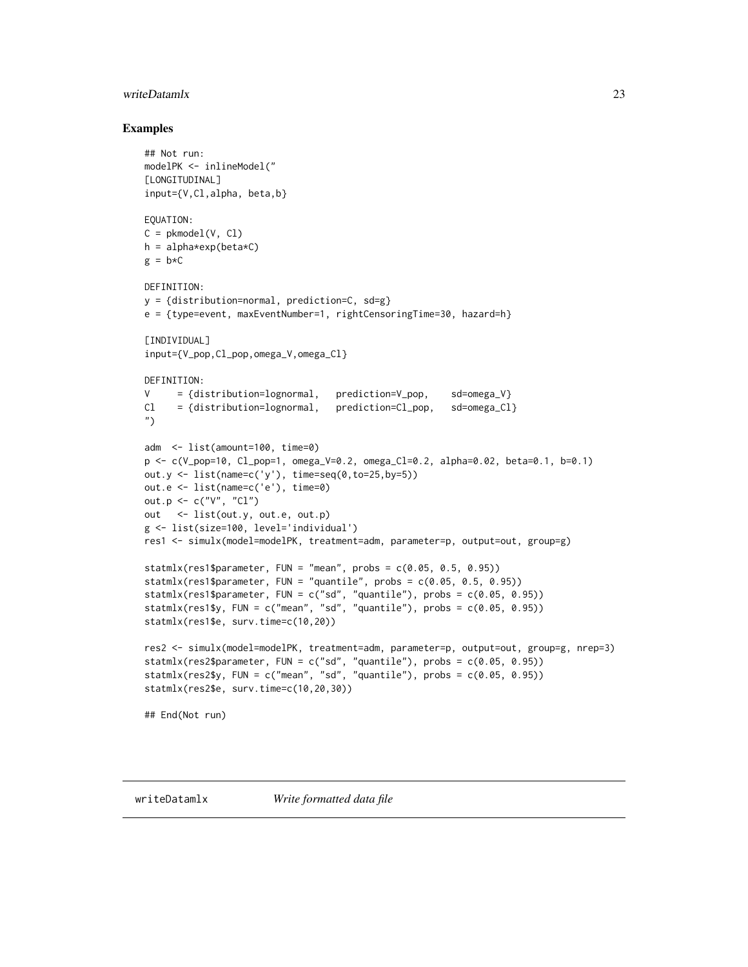#### <span id="page-22-0"></span>writeDatamlx 23

```
## Not run:
modelPK <- inlineModel("
[LONGITUDINAL]
input={V,Cl,alpha, beta,b}
EQUATION:
C = pkmodel(V, Cl)
h = alpha*exp(beta*C)
g = b \star CDEFINITION:
y = {distribution=normal, prediction=C, sd=g}
e = {type=event, maxEventNumber=1, rightCensoringTime=30, hazard=h}
[INDIVIDUAL]
input={V_pop,Cl_pop,omega_V,omega_Cl}
DEFINITION:
V = \{distribution = lognormal, prediction = V\_pop, sd = omega_V\}Cl = {distribution=lognormal, prediction=Cl_pop, sd=omega_Cl}
")
adm <- list(amount=100, time=0)
p <- c(V_pop=10, Cl_pop=1, omega_V=0.2, omega_Cl=0.2, alpha=0.02, beta=0.1, b=0.1)
out.y \leftarrow list(name=c('y'), time=seq(0,to=25,by=5))
out.e <- list(name=c('e'), time=0)
out.p <- c("V", "Cl")
out <- list(out.y, out.e, out.p)
g <- list(size=100, level='individual')
res1 <- simulx(model=modelPK, treatment=adm, parameter=p, output=out, group=g)
statmlx(res1$parameter, FUN = "mean", probs = c(0.05, 0.5, 0.95))
statmlx(res1$parameter, FUN = "quantile", probs = c(0.05, 0.5, 0.95))
statmlx(res1$parameter, FUN = c("sd", "quantile"), probs = c(0.05, 0.95))
statmlx(res1$y, FUN = c("mean", "sd", "quantile"), probs = <math>c(0.05, 0.95)</math>)statmlx(res1$e, surv.time=c(10,20))
res2 <- simulx(model=modelPK, treatment=adm, parameter=p, output=out, group=g, nrep=3)
statmlx(res2$parameter, FUN = c("sd", "quantile"), probs = <math>c(0.05, 0.95)</math>)statmlx(res2$y, FUN = c("mean", "sd", "quantile"), probs = c(0.05, 0.95))
statmlx(res2$e, surv.time=c(10,20,30))
## End(Not run)
```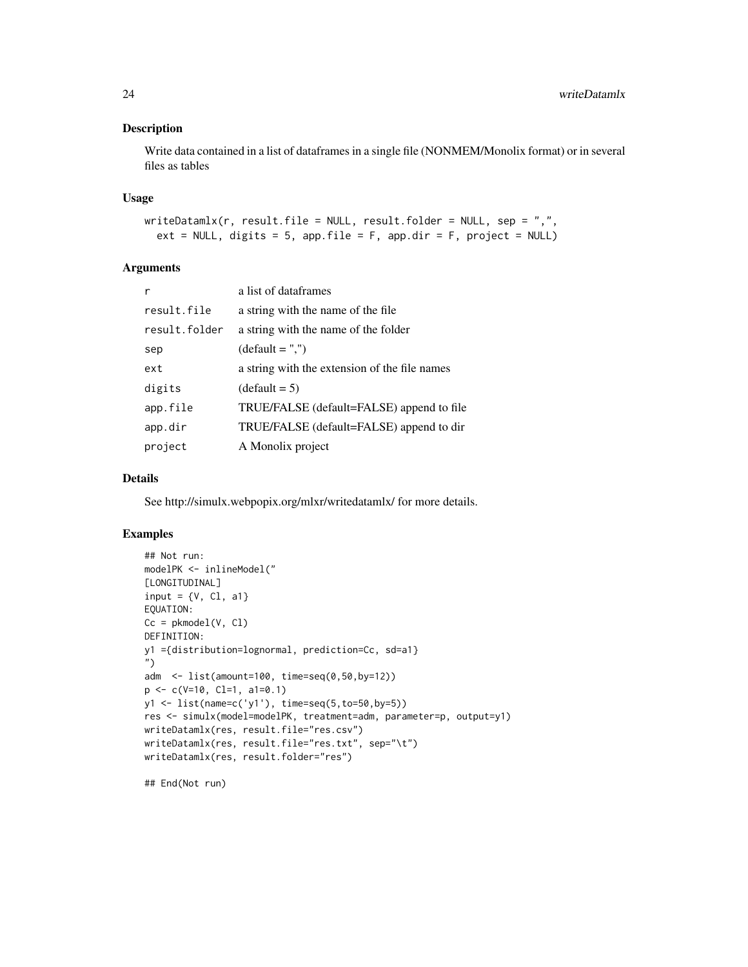#### Description

Write data contained in a list of dataframes in a single file (NONMEM/Monolix format) or in several files as tables

#### Usage

```
writeDatamlx(r, result.file = NULL, result.floatder = NULL, sep = ",",ext = NULL, digits = 5, app.file = F, app.dir = F, project = NULL)
```
#### Arguments

| r             | a list of dataframes                          |
|---------------|-----------------------------------------------|
| result.file   | a string with the name of the file.           |
| result.folder | a string with the name of the folder          |
| sep           | $(detault = ",")$                             |
| ext           | a string with the extension of the file names |
| digits        | $(detault = 5)$                               |
| app.file      | TRUE/FALSE (default=FALSE) append to file     |
| app.dir       | TRUE/FALSE (default=FALSE) append to dir      |
| project       | A Monolix project                             |

#### Details

See http://simulx.webpopix.org/mlxr/writedatamlx/ for more details.

#### Examples

```
## Not run:
modelPK <- inlineModel("
[LONGITUDINAL]
input = \{V, C1, a1\}EQUATION:
Cc = pkmodel(V, Cl)DEFINITION:
y1 ={distribution=lognormal, prediction=Cc, sd=a1}
")
adm <- list(amount=100, time=seq(0,50,by=12))
p <- c(V=10, Cl=1, a1=0.1)
y1 <- list(name=c('y1'), time=seq(5,to=50,by=5))
res <- simulx(model=modelPK, treatment=adm, parameter=p, output=y1)
writeDatamlx(res, result.file="res.csv")
writeDatamlx(res, result.file="res.txt", sep="\t")
writeDatamlx(res, result.folder="res")
```
## End(Not run)